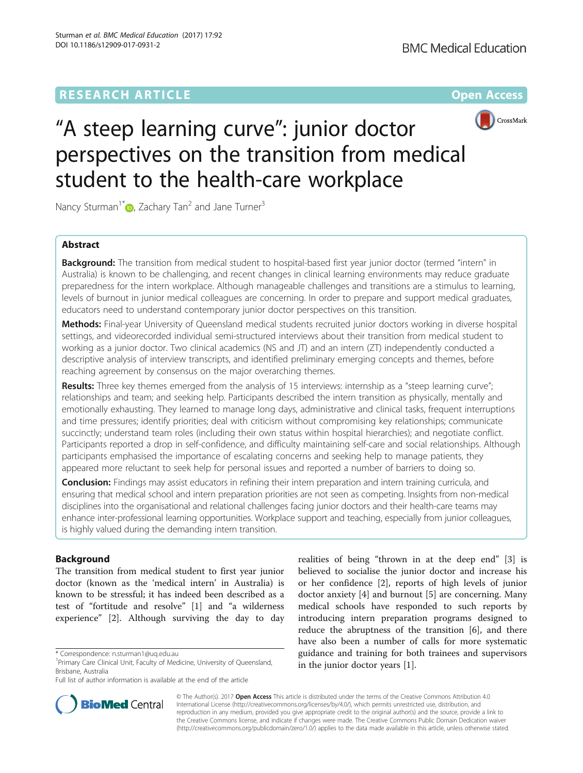

# "A steep learning curve": junior doctor perspectives on the transition from medical student to the health-care workplace

Nancy Sturman<sup>1\*</sup> $\bullet$ [,](http://orcid.org/0000-0002-7124-5553) Zachary Tan<sup>2</sup> and Jane Turner<sup>3</sup>

# Abstract

**Background:** The transition from medical student to hospital-based first year junior doctor (termed "intern" in Australia) is known to be challenging, and recent changes in clinical learning environments may reduce graduate preparedness for the intern workplace. Although manageable challenges and transitions are a stimulus to learning, levels of burnout in junior medical colleagues are concerning. In order to prepare and support medical graduates, educators need to understand contemporary junior doctor perspectives on this transition.

Methods: Final-year University of Queensland medical students recruited junior doctors working in diverse hospital settings, and videorecorded individual semi-structured interviews about their transition from medical student to working as a junior doctor. Two clinical academics (NS and JT) and an intern (ZT) independently conducted a descriptive analysis of interview transcripts, and identified preliminary emerging concepts and themes, before reaching agreement by consensus on the major overarching themes.

Results: Three key themes emerged from the analysis of 15 interviews: internship as a "steep learning curve"; relationships and team; and seeking help. Participants described the intern transition as physically, mentally and emotionally exhausting. They learned to manage long days, administrative and clinical tasks, frequent interruptions and time pressures; identify priorities; deal with criticism without compromising key relationships; communicate succinctly; understand team roles (including their own status within hospital hierarchies); and negotiate conflict. Participants reported a drop in self-confidence, and difficulty maintaining self-care and social relationships. Although participants emphasised the importance of escalating concerns and seeking help to manage patients, they appeared more reluctant to seek help for personal issues and reported a number of barriers to doing so.

Conclusion: Findings may assist educators in refining their intern preparation and intern training curricula, and ensuring that medical school and intern preparation priorities are not seen as competing. Insights from non-medical disciplines into the organisational and relational challenges facing junior doctors and their health-care teams may enhance inter-professional learning opportunities. Workplace support and teaching, especially from junior colleagues, is highly valued during the demanding intern transition.

# Background

The transition from medical student to first year junior doctor (known as the 'medical intern' in Australia) is known to be stressful; it has indeed been described as a test of "fortitude and resolve" [[1\]](#page-5-0) and "a wilderness experience" [[2\]](#page-5-0). Although surviving the day to day

**BioMed Central** 



© The Author(s). 2017 **Open Access** This article is distributed under the terms of the Creative Commons Attribution 4.0 International License [\(http://creativecommons.org/licenses/by/4.0/](http://creativecommons.org/licenses/by/4.0/)), which permits unrestricted use, distribution, and reproduction in any medium, provided you give appropriate credit to the original author(s) and the source, provide a link to the Creative Commons license, and indicate if changes were made. The Creative Commons Public Domain Dedication waiver [\(http://creativecommons.org/publicdomain/zero/1.0/](http://creativecommons.org/publicdomain/zero/1.0/)) applies to the data made available in this article, unless otherwise stated.

<sup>\*</sup> Correspondence: [n.sturman1@uq.edu.au](mailto:n.sturman1@uq.edu.au) <sup>1</sup>

<sup>&</sup>lt;sup>1</sup> Primary Care Clinical Unit, Faculty of Medicine, University of Queensland, Brisbane, Australia

Full list of author information is available at the end of the article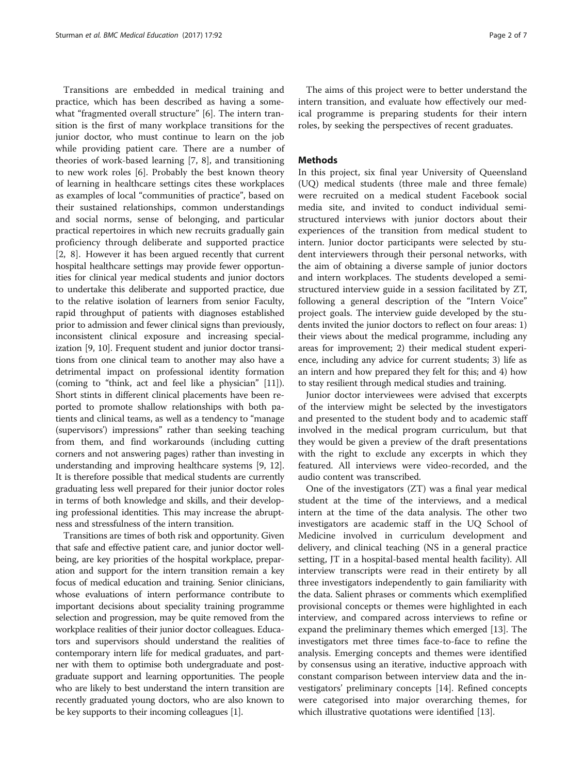Transitions are embedded in medical training and practice, which has been described as having a somewhat "fragmented overall structure" [[6\]](#page-5-0). The intern transition is the first of many workplace transitions for the junior doctor, who must continue to learn on the job while providing patient care. There are a number of theories of work-based learning [\[7](#page-5-0), [8\]](#page-5-0), and transitioning to new work roles [\[6\]](#page-5-0). Probably the best known theory of learning in healthcare settings cites these workplaces as examples of local "communities of practice", based on their sustained relationships, common understandings and social norms, sense of belonging, and particular practical repertoires in which new recruits gradually gain proficiency through deliberate and supported practice [[2, 8](#page-5-0)]. However it has been argued recently that current hospital healthcare settings may provide fewer opportunities for clinical year medical students and junior doctors to undertake this deliberate and supported practice, due to the relative isolation of learners from senior Faculty, rapid throughput of patients with diagnoses established prior to admission and fewer clinical signs than previously, inconsistent clinical exposure and increasing specialization [\[9,](#page-5-0) [10\]](#page-6-0). Frequent student and junior doctor transitions from one clinical team to another may also have a detrimental impact on professional identity formation (coming to "think, act and feel like a physician" [[11](#page-6-0)]). Short stints in different clinical placements have been reported to promote shallow relationships with both patients and clinical teams, as well as a tendency to "manage (supervisors') impressions" rather than seeking teaching from them, and find workarounds (including cutting corners and not answering pages) rather than investing in understanding and improving healthcare systems [[9,](#page-5-0) [12](#page-6-0)]. It is therefore possible that medical students are currently graduating less well prepared for their junior doctor roles in terms of both knowledge and skills, and their developing professional identities. This may increase the abruptness and stressfulness of the intern transition.

Transitions are times of both risk and opportunity. Given that safe and effective patient care, and junior doctor wellbeing, are key priorities of the hospital workplace, preparation and support for the intern transition remain a key focus of medical education and training. Senior clinicians, whose evaluations of intern performance contribute to important decisions about speciality training programme selection and progression, may be quite removed from the workplace realities of their junior doctor colleagues. Educators and supervisors should understand the realities of contemporary intern life for medical graduates, and partner with them to optimise both undergraduate and postgraduate support and learning opportunities. The people who are likely to best understand the intern transition are recently graduated young doctors, who are also known to be key supports to their incoming colleagues [[1](#page-5-0)].

The aims of this project were to better understand the intern transition, and evaluate how effectively our medical programme is preparing students for their intern roles, by seeking the perspectives of recent graduates.

## **Methods**

In this project, six final year University of Queensland (UQ) medical students (three male and three female) were recruited on a medical student Facebook social media site, and invited to conduct individual semistructured interviews with junior doctors about their experiences of the transition from medical student to intern. Junior doctor participants were selected by student interviewers through their personal networks, with the aim of obtaining a diverse sample of junior doctors and intern workplaces. The students developed a semistructured interview guide in a session facilitated by ZT, following a general description of the "Intern Voice" project goals. The interview guide developed by the students invited the junior doctors to reflect on four areas: 1) their views about the medical programme, including any areas for improvement; 2) their medical student experience, including any advice for current students; 3) life as an intern and how prepared they felt for this; and 4) how to stay resilient through medical studies and training.

Junior doctor interviewees were advised that excerpts of the interview might be selected by the investigators and presented to the student body and to academic staff involved in the medical program curriculum, but that they would be given a preview of the draft presentations with the right to exclude any excerpts in which they featured. All interviews were video-recorded, and the audio content was transcribed.

One of the investigators (ZT) was a final year medical student at the time of the interviews, and a medical intern at the time of the data analysis. The other two investigators are academic staff in the UQ School of Medicine involved in curriculum development and delivery, and clinical teaching (NS in a general practice setting, JT in a hospital-based mental health facility). All interview transcripts were read in their entirety by all three investigators independently to gain familiarity with the data. Salient phrases or comments which exemplified provisional concepts or themes were highlighted in each interview, and compared across interviews to refine or expand the preliminary themes which emerged [\[13](#page-6-0)]. The investigators met three times face-to-face to refine the analysis. Emerging concepts and themes were identified by consensus using an iterative, inductive approach with constant comparison between interview data and the investigators' preliminary concepts [\[14](#page-6-0)]. Refined concepts were categorised into major overarching themes, for which illustrative quotations were identified [[13](#page-6-0)].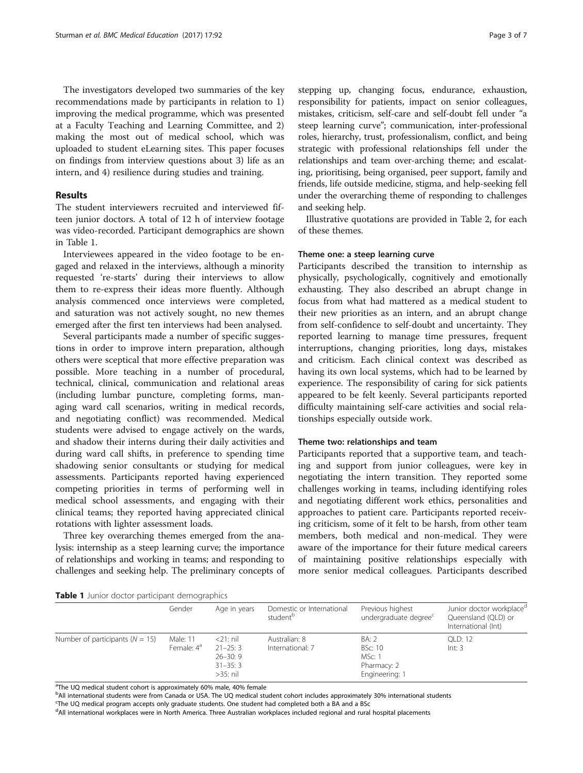The investigators developed two summaries of the key recommendations made by participants in relation to 1) improving the medical programme, which was presented at a Faculty Teaching and Learning Committee, and 2) making the most out of medical school, which was uploaded to student eLearning sites. This paper focuses on findings from interview questions about 3) life as an intern, and 4) resilience during studies and training.

## Results

The student interviewers recruited and interviewed fifteen junior doctors. A total of 12 h of interview footage was video-recorded. Participant demographics are shown in Table 1.

Interviewees appeared in the video footage to be engaged and relaxed in the interviews, although a minority requested 're-starts' during their interviews to allow them to re-express their ideas more fluently. Although analysis commenced once interviews were completed, and saturation was not actively sought, no new themes emerged after the first ten interviews had been analysed.

Several participants made a number of specific suggestions in order to improve intern preparation, although others were sceptical that more effective preparation was possible. More teaching in a number of procedural, technical, clinical, communication and relational areas (including lumbar puncture, completing forms, managing ward call scenarios, writing in medical records, and negotiating conflict) was recommended. Medical students were advised to engage actively on the wards, and shadow their interns during their daily activities and during ward call shifts, in preference to spending time shadowing senior consultants or studying for medical assessments. Participants reported having experienced competing priorities in terms of performing well in medical school assessments, and engaging with their clinical teams; they reported having appreciated clinical rotations with lighter assessment loads.

Three key overarching themes emerged from the analysis: internship as a steep learning curve; the importance of relationships and working in teams; and responding to challenges and seeking help. The preliminary concepts of stepping up, changing focus, endurance, exhaustion, responsibility for patients, impact on senior colleagues, mistakes, criticism, self-care and self-doubt fell under "a steep learning curve"; communication, inter-professional roles, hierarchy, trust, professionalism, conflict, and being strategic with professional relationships fell under the relationships and team over-arching theme; and escalating, prioritising, being organised, peer support, family and friends, life outside medicine, stigma, and help-seeking fell under the overarching theme of responding to challenges and seeking help.

Illustrative quotations are provided in Table [2](#page-3-0), for each of these themes.

## Theme one: a steep learning curve

Participants described the transition to internship as physically, psychologically, cognitively and emotionally exhausting. They also described an abrupt change in focus from what had mattered as a medical student to their new priorities as an intern, and an abrupt change from self-confidence to self-doubt and uncertainty. They reported learning to manage time pressures, frequent interruptions, changing priorities, long days, mistakes and criticism. Each clinical context was described as having its own local systems, which had to be learned by experience. The responsibility of caring for sick patients appeared to be felt keenly. Several participants reported difficulty maintaining self-care activities and social relationships especially outside work.

## Theme two: relationships and team

Participants reported that a supportive team, and teaching and support from junior colleagues, were key in negotiating the intern transition. They reported some challenges working in teams, including identifying roles and negotiating different work ethics, personalities and approaches to patient care. Participants reported receiving criticism, some of it felt to be harsh, from other team members, both medical and non-medical. They were aware of the importance for their future medical careers of maintaining positive relationships especially with more senior medical colleagues. Participants described

## Table 1 Junior doctor participant demographics

|                                     | Gender                             | Age in years                                                            | Domestic or International<br>student <sup>b</sup> | Previous highest<br>undergraduate degree <sup>c</sup>                     | Junior doctor workplace <sup>d</sup><br>Queensland (QLD) or<br>International (Int) |
|-------------------------------------|------------------------------------|-------------------------------------------------------------------------|---------------------------------------------------|---------------------------------------------------------------------------|------------------------------------------------------------------------------------|
| Number of participants ( $N = 15$ ) | Male: 11<br>Female: 4 <sup>a</sup> | $<$ 21: nil<br>$21 - 25:3$<br>$26 - 30:9$<br>$31 - 35:3$<br>$>35$ : nil | Australian: 8<br>International: 7                 | <b>BA: 2</b><br><b>BSc: 10</b><br>MSc: 1<br>Pharmacy: 2<br>Engineering: 1 | <b>QLD: 12</b><br>Int: 3                                                           |

<sup>a</sup>The UQ medical student cohort is approximately 60% male, 40% female

b All international students were from Canada or USA. The UQ medical student cohort includes approximately 30% international students

c The UQ medical program accepts only graduate students. One student had completed both a BA and a BSc

<sup>d</sup>All international workplaces were in North America. Three Australian workplaces included regional and rural hospital placements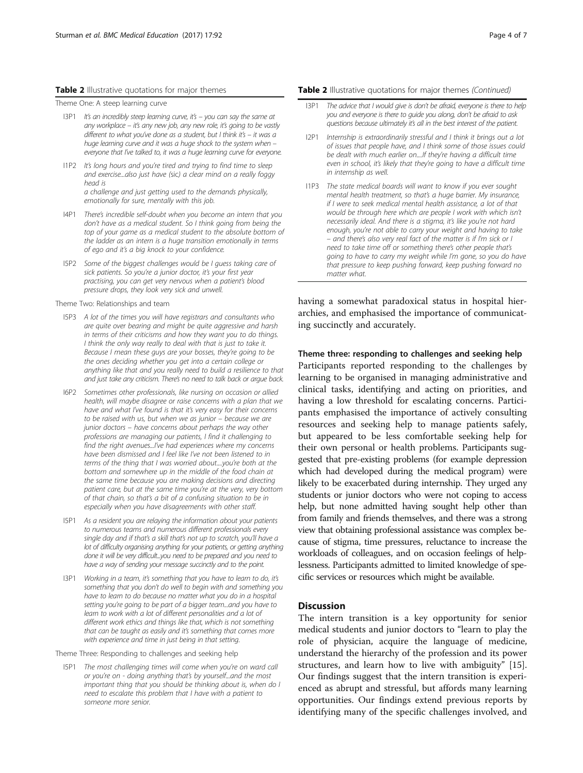## <span id="page-3-0"></span>Table 2 Illustrative quotations for major themes

Theme One: A steep learning curve

- I3P1 It's an incredibly steep learning curve, it's you can say the same at any workplace – it's any new job, any new role, it's going to be vastly different to what you've done as a student, but I think it's – it was a huge learning curve and it was a huge shock to the system when – everyone that I've talked to, it was a huge learning curve for everyone.
- I1P2 It's long hours and you're tired and trying to find time to sleep and exercise...also just have (sic) a clear mind on a really foggy head is a challenge and just getting used to the demands physically, emotionally for sure, mentally with this job.
- I4P1 There's incredible self-doubt when you become an intern that you don't have as a medical student. So I think going from being the top of your game as a medical student to the absolute bottom of the ladder as an intern is a huge transition emotionally in terms of ego and it's a big knock to your confidence.
- I5P2 Some of the biggest challenges would be I guess taking care of sick patients. So you're a junior doctor, it's your first year practising, you can get very nervous when a patient's blood pressure drops, they look very sick and unwell.

Theme Two: Relationships and team

- I5P3 A lot of the times you will have registrars and consultants who are quite over bearing and might be quite aggressive and harsh in terms of their criticisms and how they want you to do things. I think the only way really to deal with that is just to take it. Because I mean these guys are your bosses, they're going to be the ones deciding whether you get into a certain college or anything like that and you really need to build a resilience to that and just take any criticism. There's no need to talk back or argue back.
- I6P2 Sometimes other professionals, like nursing on occasion or allied health, will maybe disagree or raise concerns with a plan that we have and what I've found is that it's very easy for their concerns to be raised with us, but when we as junior – because we are junior doctors – have concerns about perhaps the way other professions are managing our patients, I find it challenging to find the right avenues...I've had experiences where my concerns have been dismissed and I feel like I've not been listened to in terms of the thing that I was worried about....you're both at the bottom and somewhere up in the middle of the food chain at the same time because you are making decisions and directing patient care, but at the same time you're at the very, very bottom of that chain, so that's a bit of a confusing situation to be in especially when you have disagreements with other staff.
- I5P1 As a resident you are relaying the information about your patients to numerous teams and numerous different professionals every single day and if that's a skill that's not up to scratch, you'll have a lot of difficulty organising anything for your patients, or getting anything done it will be very difficult...you need to be prepared and you need to have a way of sending your message succinctly and to the point.
- I3P1 Working in a team, it's something that you have to learn to do, it's something that you don't do well to begin with and something you have to learn to do because no matter what you do in a hospital setting you're going to be part of a bigger team...and you have to learn to work with a lot of different personalities and a lot of different work ethics and things like that, which is not something that can be taught as easily and it's something that comes more with experience and time in just being in that setting.

Theme Three: Responding to challenges and seeking help

I5P1 The most challenging times will come when you're on ward call or you're on - doing anything that's by yourself...and the most important thing that you should be thinking about is, when do I need to escalate this problem that I have with a patient to someone more senior.

## Table 2 Illustrative quotations for major themes (Continued)

- I3P1 The advice that I would give is don't be afraid, everyone is there to help you and everyone is there to guide you along, don't be afraid to ask questions because ultimately it's all in the best interest of the patient.
- I2P1 Internship is extraordinarily stressful and I think it brings out a lot of issues that people have, and I think some of those issues could be dealt with much earlier on....If they're having a difficult time even in school, it's likely that they're going to have a difficult time in internship as well.
- I1P3 The state medical boards will want to know if you ever sought mental health treatment, so that's a huge barrier. My insurance, if I were to seek medical mental health assistance, a lot of that would be through here which are people I work with which isn't necessarily ideal. And there is a stigma, it's like you're not hard enough, you're not able to carry your weight and having to take – and there's also very real fact of the matter is if I'm sick or I need to take time off or something there's other people that's going to have to carry my weight while I'm gone, so you do have that pressure to keep pushing forward, keep pushing forward no matter what.

having a somewhat paradoxical status in hospital hierarchies, and emphasised the importance of communicating succinctly and accurately.

## Theme three: responding to challenges and seeking help

Participants reported responding to the challenges by learning to be organised in managing administrative and clinical tasks, identifying and acting on priorities, and having a low threshold for escalating concerns. Participants emphasised the importance of actively consulting resources and seeking help to manage patients safely, but appeared to be less comfortable seeking help for their own personal or health problems. Participants suggested that pre-existing problems (for example depression which had developed during the medical program) were likely to be exacerbated during internship. They urged any students or junior doctors who were not coping to access help, but none admitted having sought help other than from family and friends themselves, and there was a strong view that obtaining professional assistance was complex because of stigma, time pressures, reluctance to increase the workloads of colleagues, and on occasion feelings of helplessness. Participants admitted to limited knowledge of specific services or resources which might be available.

## **Discussion**

The intern transition is a key opportunity for senior medical students and junior doctors to "learn to play the role of physician, acquire the language of medicine, understand the hierarchy of the profession and its power structures, and learn how to live with ambiguity" [\[15](#page-6-0)]. Our findings suggest that the intern transition is experienced as abrupt and stressful, but affords many learning opportunities. Our findings extend previous reports by identifying many of the specific challenges involved, and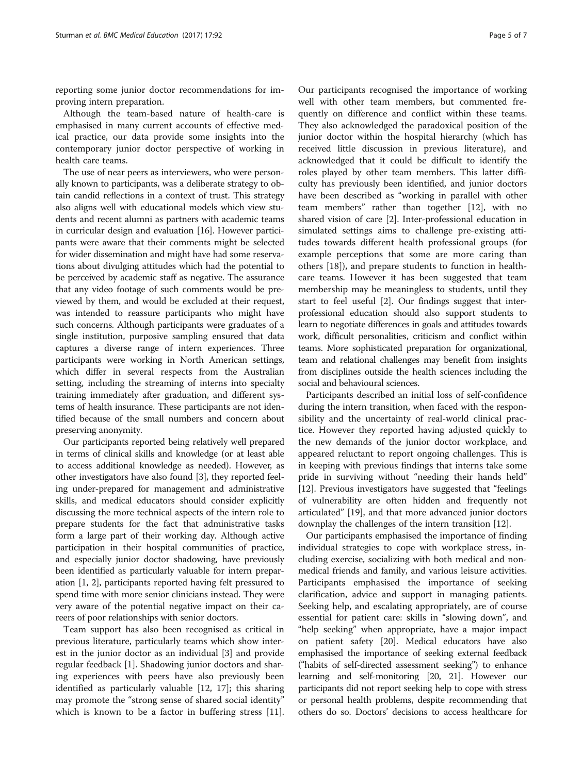reporting some junior doctor recommendations for improving intern preparation.

Although the team-based nature of health-care is emphasised in many current accounts of effective medical practice, our data provide some insights into the contemporary junior doctor perspective of working in health care teams.

The use of near peers as interviewers, who were personally known to participants, was a deliberate strategy to obtain candid reflections in a context of trust. This strategy also aligns well with educational models which view students and recent alumni as partners with academic teams in curricular design and evaluation [\[16\]](#page-6-0). However participants were aware that their comments might be selected for wider dissemination and might have had some reservations about divulging attitudes which had the potential to be perceived by academic staff as negative. The assurance that any video footage of such comments would be previewed by them, and would be excluded at their request, was intended to reassure participants who might have such concerns. Although participants were graduates of a single institution, purposive sampling ensured that data captures a diverse range of intern experiences. Three participants were working in North American settings, which differ in several respects from the Australian setting, including the streaming of interns into specialty training immediately after graduation, and different systems of health insurance. These participants are not identified because of the small numbers and concern about preserving anonymity.

Our participants reported being relatively well prepared in terms of clinical skills and knowledge (or at least able to access additional knowledge as needed). However, as other investigators have also found [\[3](#page-5-0)], they reported feeling under-prepared for management and administrative skills, and medical educators should consider explicitly discussing the more technical aspects of the intern role to prepare students for the fact that administrative tasks form a large part of their working day. Although active participation in their hospital communities of practice, and especially junior doctor shadowing, have previously been identified as particularly valuable for intern preparation [\[1](#page-5-0), [2](#page-5-0)], participants reported having felt pressured to spend time with more senior clinicians instead. They were very aware of the potential negative impact on their careers of poor relationships with senior doctors.

Team support has also been recognised as critical in previous literature, particularly teams which show interest in the junior doctor as an individual [[3\]](#page-5-0) and provide regular feedback [\[1](#page-5-0)]. Shadowing junior doctors and sharing experiences with peers have also previously been identified as particularly valuable [[12, 17](#page-6-0)]; this sharing may promote the "strong sense of shared social identity" which is known to be a factor in buffering stress [\[11](#page-6-0)].

Our participants recognised the importance of working well with other team members, but commented frequently on difference and conflict within these teams. They also acknowledged the paradoxical position of the junior doctor within the hospital hierarchy (which has received little discussion in previous literature), and acknowledged that it could be difficult to identify the roles played by other team members. This latter difficulty has previously been identified, and junior doctors have been described as "working in parallel with other team members" rather than together [\[12\]](#page-6-0), with no shared vision of care [[2\]](#page-5-0). Inter-professional education in simulated settings aims to challenge pre-existing attitudes towards different health professional groups (for example perceptions that some are more caring than others [[18\]](#page-6-0)), and prepare students to function in healthcare teams. However it has been suggested that team membership may be meaningless to students, until they start to feel useful [[2\]](#page-5-0). Our findings suggest that interprofessional education should also support students to learn to negotiate differences in goals and attitudes towards work, difficult personalities, criticism and conflict within teams. More sophisticated preparation for organizational, team and relational challenges may benefit from insights from disciplines outside the health sciences including the social and behavioural sciences.

Participants described an initial loss of self-confidence during the intern transition, when faced with the responsibility and the uncertainty of real-world clinical practice. However they reported having adjusted quickly to the new demands of the junior doctor workplace, and appeared reluctant to report ongoing challenges. This is in keeping with previous findings that interns take some pride in surviving without "needing their hands held" [[12\]](#page-6-0). Previous investigators have suggested that "feelings of vulnerability are often hidden and frequently not articulated" [\[19\]](#page-6-0), and that more advanced junior doctors downplay the challenges of the intern transition [\[12](#page-6-0)].

Our participants emphasised the importance of finding individual strategies to cope with workplace stress, including exercise, socializing with both medical and nonmedical friends and family, and various leisure activities. Participants emphasised the importance of seeking clarification, advice and support in managing patients. Seeking help, and escalating appropriately, are of course essential for patient care: skills in "slowing down", and "help seeking" when appropriate, have a major impact on patient safety [[20\]](#page-6-0). Medical educators have also emphasised the importance of seeking external feedback ("habits of self-directed assessment seeking") to enhance learning and self-monitoring [\[20, 21](#page-6-0)]. However our participants did not report seeking help to cope with stress or personal health problems, despite recommending that others do so. Doctors' decisions to access healthcare for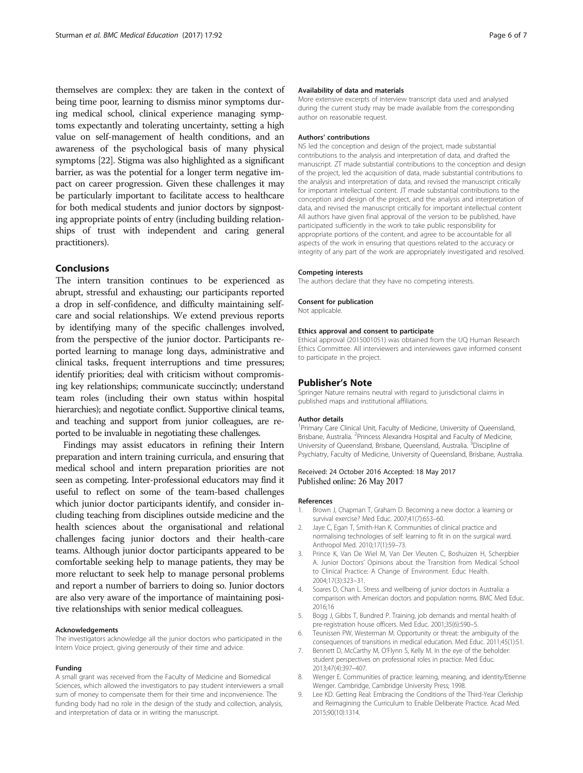<span id="page-5-0"></span>themselves are complex: they are taken in the context of being time poor, learning to dismiss minor symptoms during medical school, clinical experience managing symptoms expectantly and tolerating uncertainty, setting a high value on self-management of health conditions, and an awareness of the psychological basis of many physical symptoms [\[22\]](#page-6-0). Stigma was also highlighted as a significant barrier, as was the potential for a longer term negative impact on career progression. Given these challenges it may be particularly important to facilitate access to healthcare for both medical students and junior doctors by signposting appropriate points of entry (including building relationships of trust with independent and caring general practitioners).

## Conclusions

The intern transition continues to be experienced as abrupt, stressful and exhausting; our participants reported a drop in self-confidence, and difficulty maintaining selfcare and social relationships. We extend previous reports by identifying many of the specific challenges involved, from the perspective of the junior doctor. Participants reported learning to manage long days, administrative and clinical tasks, frequent interruptions and time pressures; identify priorities; deal with criticism without compromising key relationships; communicate succinctly; understand team roles (including their own status within hospital hierarchies); and negotiate conflict. Supportive clinical teams, and teaching and support from junior colleagues, are reported to be invaluable in negotiating these challenges.

Findings may assist educators in refining their Intern preparation and intern training curricula, and ensuring that medical school and intern preparation priorities are not seen as competing. Inter-professional educators may find it useful to reflect on some of the team-based challenges which junior doctor participants identify, and consider including teaching from disciplines outside medicine and the health sciences about the organisational and relational challenges facing junior doctors and their health-care teams. Although junior doctor participants appeared to be comfortable seeking help to manage patients, they may be more reluctant to seek help to manage personal problems and report a number of barriers to doing so. Junior doctors are also very aware of the importance of maintaining positive relationships with senior medical colleagues.

#### Acknowledgements

The investigators acknowledge all the junior doctors who participated in the Intern Voice project, giving generously of their time and advice.

#### Funding

A small grant was received from the Faculty of Medicine and Biomedical Sciences, which allowed the investigators to pay student interviewers a small sum of money to compensate them for their time and inconvenience. The funding body had no role in the design of the study and collection, analysis, and interpretation of data or in writing the manuscript.

## Availability of data and materials

More extensive excerpts of interview transcript data used and analysed during the current study may be made available from the corresponding author on reasonable request.

## Authors' contributions

NS led the conception and design of the project, made substantial contributions to the analysis and interpretation of data, and drafted the manuscript. ZT made substantial contributions to the conception and design of the project, led the acquisition of data, made substantial contributions to the analysis and interpretation of data, and revised the manuscript critically for important intellectual content. JT made substantial contributions to the conception and design of the project, and the analysis and interpretation of data, and revised the manuscript critically for important intellectual content All authors have given final approval of the version to be published, have participated sufficiently in the work to take public responsibility for appropriate portions of the content, and agree to be accountable for all aspects of the work in ensuring that questions related to the accuracy or integrity of any part of the work are appropriately investigated and resolved.

#### Competing interests

The authors declare that they have no competing interests.

#### Consent for publication

Not applicable.

#### Ethics approval and consent to participate

Ethical approval (2015001051) was obtained from the UQ Human Research Ethics Committee. All interviewers and interviewees gave informed consent to participate in the project.

## Publisher's Note

Springer Nature remains neutral with regard to jurisdictional claims in published maps and institutional affiliations.

#### Author details

<sup>1</sup> Primary Care Clinical Unit, Faculty of Medicine, University of Queensland Brisbane, Australia. <sup>2</sup>Princess Alexandra Hospital and Faculty of Medicine University of Queensland, Brisbane, Queensland, Australia. <sup>3</sup>Discipline of Psychiatry, Faculty of Medicine, University of Queensland, Brisbane, Australia.

## Received: 24 October 2016 Accepted: 18 May 2017 Published online: 26 May 2017

#### References

- Brown J, Chapman T, Graham D. Becoming a new doctor: a learning or survival exercise? Med Educ. 2007;41(7):653–60.
- 2. Jaye C, Egan T, Smith-Han K. Communities of clinical practice and normalising technologies of self: learning to fit in on the surgical ward. Anthropol Med. 2010;17(1):59–73.
- 3. Prince K, Van De Wiel M, Van Der Vleuten C, Boshuizen H, Scherpbier A. Junior Doctors' Opinions about the Transition from Medical School to Clinical Practice: A Change of Environment. Educ Health. 2004;17(3):323–31.
- 4. Soares D, Chan L. Stress and wellbeing of junior doctors in Australia: a comparison with American doctors and population norms. BMC Med Educ. 2016;16
- 5. Bogg J, Gibbs T, Bundred P. Training, job demands and mental health of pre-registration house officers. Med Educ. 2001;35(6):590–5.
- 6. Teunissen PW, Westerman M. Opportunity or threat: the ambiguity of the consequences of transitions in medical education. Med Educ. 2011;45(1):51.
- 7. Bennett D, McCarthy M, O'Flynn S, Kelly M. In the eye of the beholder: student perspectives on professional roles in practice. Med Educ. 2013;47(4):397–407.
- 8. Wenger E. Communities of practice: learning, meaning, and identity/Etienne Wenger. Cambridge, Cambridge University Press; 1998.
- 9. Lee KD. Getting Real: Embracing the Conditions of the Third-Year Clerkship and Reimagining the Curriculum to Enable Deliberate Practice. Acad Med. 2015;90(10):1314.